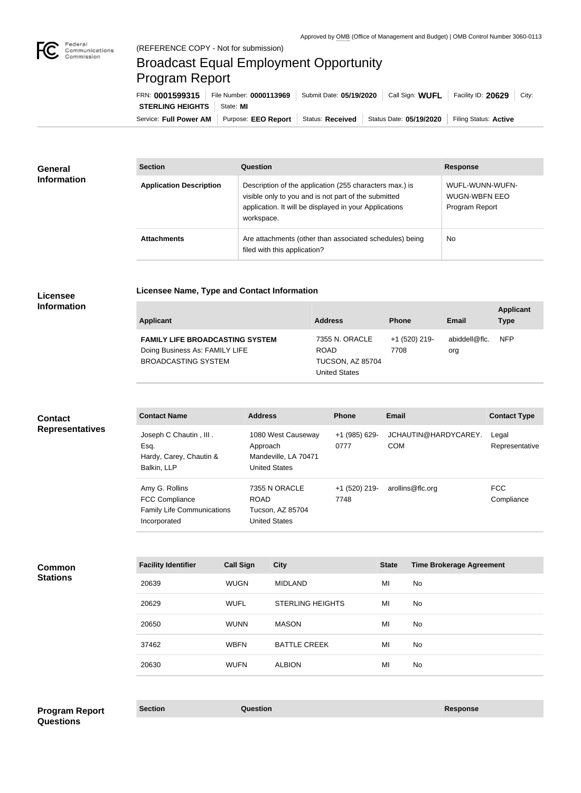

# Broadcast Equal Employment Opportunity Program Report

**Licensee Name, Type and Contact Information**

Service: Full Power AM | Purpose: EEO Report | Status: Received | Status Date: 05/19/2020 | Filing Status: Active **STERLING HEIGHTS** | State: MI FRN: **0001599315** File Number: **0000113969** Submit Date: **05/19/2020** Call Sign: **WUFL** Facility ID: **20629** City:

| <b>General</b>     | <b>Section</b>                 | Question                                                                                                                                                                                | <b>Response</b>                                           |
|--------------------|--------------------------------|-----------------------------------------------------------------------------------------------------------------------------------------------------------------------------------------|-----------------------------------------------------------|
| <b>Information</b> | <b>Application Description</b> | Description of the application (255 characters max.) is<br>visible only to you and is not part of the submitted<br>application. It will be displayed in your Applications<br>workspace. | WUFL-WUNN-WUFN-<br><b>WUGN-WBFN EEO</b><br>Program Report |
|                    | <b>Attachments</b>             | Are attachments (other than associated schedules) being<br>filed with this application?                                                                                                 | No.                                                       |

## **Licensee Information**

| <b>Applicant</b>                                                                                       | <b>Address</b>                                                                   | <b>Phone</b>          | Email                | <b>Applicant</b><br><b>Type</b> |
|--------------------------------------------------------------------------------------------------------|----------------------------------------------------------------------------------|-----------------------|----------------------|---------------------------------|
| <b>FAMILY LIFE BROADCASTING SYSTEM</b><br>Doing Business As: FAMILY LIFE<br><b>BROADCASTING SYSTEM</b> | 7355 N. ORACLE<br><b>ROAD</b><br><b>TUCSON, AZ 85704</b><br><b>United States</b> | +1 (520) 219-<br>7708 | abiddell@flc.<br>org | <b>NFP</b>                      |

## **Contact Representatives**

| <b>Contact Name</b>               | <b>Address</b>       | <b>Phone</b>  | Email                | <b>Contact Type</b> |
|-----------------------------------|----------------------|---------------|----------------------|---------------------|
| Joseph C Chautin, III.            | 1080 West Causeway   | +1 (985) 629- | JCHAUTIN@HARDYCAREY. | Legal               |
| Esq.                              | Approach             | 0777          | <b>COM</b>           | Representative      |
| Hardy, Carey, Chautin &           | Mandeville, LA 70471 |               |                      |                     |
| Balkin, LLP                       | <b>United States</b> |               |                      |                     |
| Amy G. Rollins                    | 7355 N ORACLE        | +1 (520) 219- | arollins@flc.org     | <b>FCC</b>          |
| <b>FCC Compliance</b>             | <b>ROAD</b>          | 7748          |                      | Compliance          |
| <b>Family Life Communications</b> | Tucson, AZ 85704     |               |                      |                     |
| Incorporated                      | <b>United States</b> |               |                      |                     |
|                                   |                      |               |                      |                     |

## **Common Stations**

| <b>Facility Identifier</b> | <b>Call Sign</b> | <b>City</b>             | <b>State</b> | <b>Time Brokerage Agreement</b> |
|----------------------------|------------------|-------------------------|--------------|---------------------------------|
| 20639                      | <b>WUGN</b>      | <b>MIDLAND</b>          | MI           | No.                             |
| 20629                      | <b>WUFL</b>      | <b>STERLING HEIGHTS</b> | MI           | No.                             |
| 20650                      | <b>WUNN</b>      | <b>MASON</b>            | MI           | No.                             |
| 37462                      | <b>WBFN</b>      | <b>BATTLE CREEK</b>     | MI           | No.                             |
| 20630                      | <b>WUFN</b>      | <b>ALBION</b>           | MI           | <b>No</b>                       |

# **Section Question Response Program Report Questions**